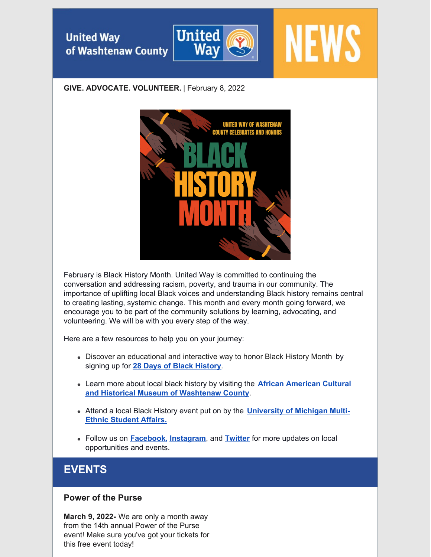**United Way** of Washtenaw County



# **NEWS**

**GIVE. ADVOCATE. VOLUNTEER.** | February 8, 2022



February is Black History Month. United Way is committed to continuing the conversation and addressing racism, poverty, and trauma in our community. The importance of uplifting local Black voices and understanding Black history remains central to creating lasting, systemic change. This month and every month going forward, we encourage you to be part of the community solutions by learning, advocating, and volunteering. We will be with you every step of the way.

Here are a few resources to help you on your journey:

- Discover an educational and interactive way to honor Black History Month by signing up for **28 Days of Black [History](https://www.28daysofblackhistory.com/)**.
- Learn more about local black history by visiting the **African American Cultural and Historical Museum of [Washtenaw](https://www.aachm.org/local-history) County**.
- Attend a local Black History event put on by the **[University](https://mesa.umich.edu/black-history-month?fbclid=IwAR3eK0UZu2pu2U7U0kqXCVo3_iXn5gwf9AzZN41LMeq66586XNtaJJueqTg) of Michigan Multi-Ethnic Student Affairs.**
- Follow us on **[Facebook](https://www.facebook.com/uwwashtenaw), [Instagram](https://www.instagram.com/uwwashtenaw/)**, and **[Twitter](https://twitter.com/UWwashtenaw)** for more updates on local opportunities and events.

# **EVENTS**

## **Power of the Purse**

**March 9, 2022-** We are only a month away from the 14th annual Power of the Purse event! Make sure you've got your tickets for this free event today!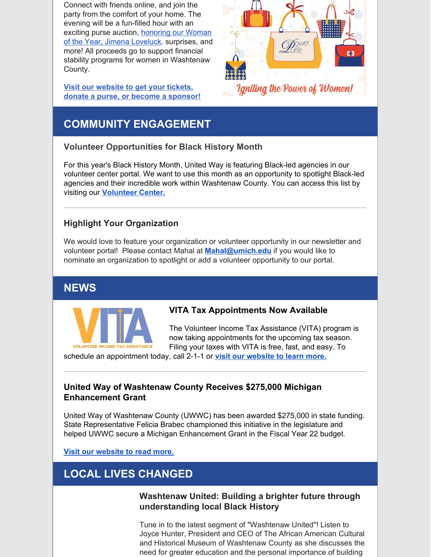Connect with friends online, and join the party from the comfort of your home. The evening will be a fun-filled hour with an exciting purse auction, honoring our Woman of the Year, Jimena Loveluck, [surprises,](https://www.uwwashtenaw.org/news/united-way-washtenaw-county-announces-jimena-loveluck-woman-year) and more! All proceeds go to support financial stability programs for women in Washtenaw County.

**Visit our website to get your tickets, donate a purse, or become a [sponsor!](https://www.uwwashtenaw.org/power-purse2022)**



## **COMMUNITY ENGAGEMENT**

### **Volunteer Opportunities for Black History Month**

For this year's Black History Month, United Way is featuring Black-led agencies in our volunteer center portal. We want to use this month as an opportunity to spotlight Black-led agencies and their incredible work within Washtenaw County. You can access this list by visiting our **[Volunteer](https://www.volunteerwashtenaw.org/) Center.**

## **Highlight Your Organization**

We would love to feature your organization or volunteer opportunity in our newsletter and volunteer portal! Please contact Mahal at **[Mahal@umich.edu](mailto:mahal@umich.edu)** if you would like to nominate an organization to spotlight or add a volunteer opportunity to our portal.

## **NEWS**



### **VITA Tax Appointments Now Available**

The Volunteer Income Tax Assistance (VITA) program is now taking appointments for the upcoming tax season. Filing your taxes with VITA is free, fast, and easy. To

schedule an appointment today, call 2-1-1 or **visit our [website](https://www.uwwashtenaw.org/free-tax-preparation) to learn more.**

### **United Way of Washtenaw County Receives \$275,000 Michigan Enhancement Grant**

United Way of Washtenaw County (UWWC) has been awarded \$275,000 in state funding. State Representative Felicia Brabec championed this initiative in the legislature and helped UWWC secure a Michigan Enhancement Grant in the Fiscal Year 22 budget.

**Visit our [website](https://www.uwwashtenaw.org/news/united-way-washtenaw-county-receives-275000-michigan-enhancement-grant) to read more.**

## **LOCAL LIVES CHANGED**

## **Washtenaw United: Building a brighter future through understanding local Black History**

Tune in to the latest segment of "Washtenaw United"! Listen to Joyce Hunter, President and CEO of The African American Cultural and Historical Museum of Washtenaw County as she discusses the need for greater education and the personal importance of building